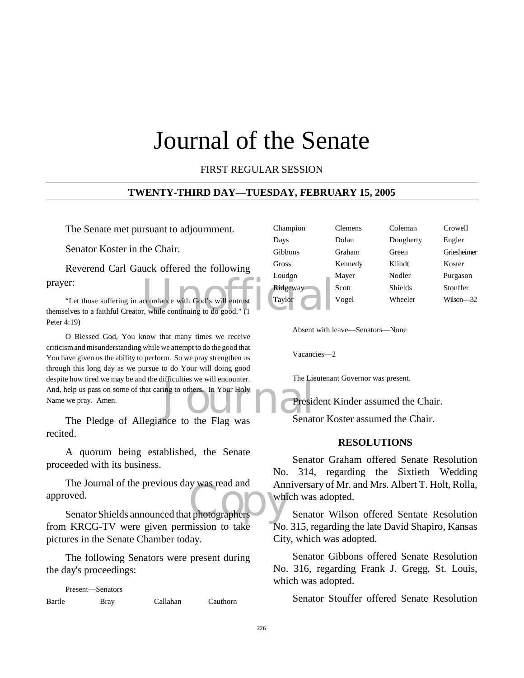### Journal of the Senate

#### FIRST REGULAR SESSION

#### **TWENTY-THIRD DAY—TUESDAY, FEBRUARY 15, 2005**

The Senate met pursuant to adjournment.

Senator Koster in the Chair.

Reverend Carl Gauck offered the following prayer:

Exercise extended with God's will entrust<br>
Taylor<br>
Taylor<br>
Taylor<br>
Taylor<br>
Taylor<br>
Taylor<br>
Taylor<br>
Taylor<br>
Taylor "Let those suffering in accordance with God's will entrust themselves to a faithful Creator, while continuing to do good." (1 Peter 4:19)

michaes we will encounter.<br>
In Your Holy<br>
Presidence to the Elag was<br>
Senat O Blessed God, You know that many times we receive criticism and misunderstanding while we attempt to do the good that You have given us the ability to perform. So we pray strengthen us through this long day as we pursue to do Your will doing good despite how tired we may be and the difficulties we will encounter. And, help us pass on some of that caring to others. In Your Holy Name we pray. Amen.

The Pledge of Allegiance to the Flag was recited.

A quorum being established, the Senate proceeded with its business.

Copy Senator Shields announced that photographers The Journal of the previous day was read and approved.

from KRCG-TV were given permission to take pictures in the Senate Chamber today.

The following Senators were present during the day's proceedings:

Present—Senators Bartle Bray Callahan Cauthorn

| Champion | <b>Clemens</b> | Coleman   | Crowell     |
|----------|----------------|-----------|-------------|
| Days     | Dolan          | Dougherty | Engler      |
| Gibbons  | Graham         | Green     | Griesheimer |
| Gross    | Kennedy        | Klindt    | Koster      |
| Loudon   | Mayer          | Nodler    | Purgason    |
| Ridgeway | Scott          | Shields   | Stouffer    |
| Taylor   | Vogel          | Wheeler   | Wilson-32   |
|          |                |           |             |

Absent with leave—Senators—None

Vacancies—2

The Lieutenant Governor was present.



Senator Koster assumed the Chair.

#### **RESOLUTIONS**

Senator Graham offered Senate Resolution No. 314, regarding the Sixtieth Wedding Anniversary of Mr. and Mrs. Albert T. Holt, Rolla, which was adopted.

Senator Wilson offered Sentate Resolution No. 315, regarding the late David Shapiro, Kansas City, which was adopted.

Senator Gibbons offered Senate Resolution No. 316, regarding Frank J. Gregg, St. Louis, which was adopted.

Senator Stouffer offered Senate Resolution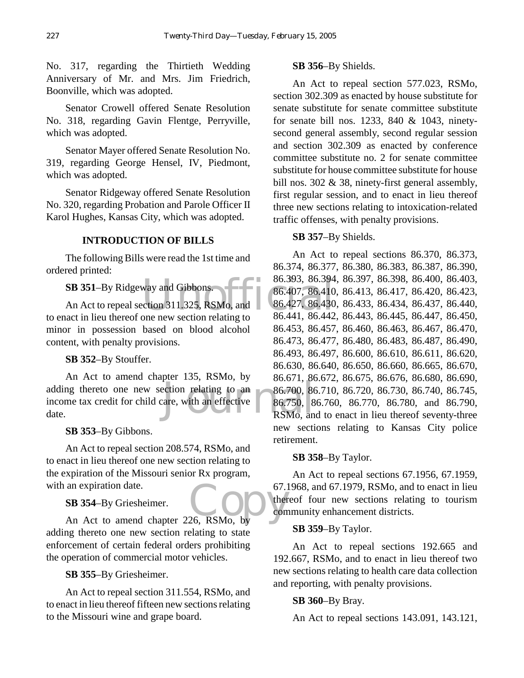No. 317, regarding the Thirtieth Wedding Anniversary of Mr. and Mrs. Jim Friedrich, Boonville, which was adopted.

Senator Crowell offered Senate Resolution No. 318, regarding Gavin Flentge, Perryville, which was adopted.

Senator Mayer offered Senate Resolution No. 319, regarding George Hensel, IV, Piedmont, which was adopted.

Senator Ridgeway offered Senate Resolution No. 320, regarding Probation and Parole Officer II Karol Hughes, Kansas City, which was adopted.

#### **INTRODUCTION OF BILLS**

The following Bills were read the 1st time and ordered printed:

**SB 351**–By Ridgeway and Gibbons.

An Act to repeal section 311.325, RSMo, and to enact in lieu thereof one new section relating to minor in possession based on blood alcohol content, with penalty provisions.

#### **SB 352**–By Stouffer.

adding thereto one new section relating to an 86.700, 86<br>income tax credit for child care, with an effective 86.750, 8<br>date. RSMo, an An Act to amend chapter 135, RSMo, by income tax credit for child care, with an effective date.

**SB 353**–By Gibbons.

An Act to repeal section 208.574, RSMo, and to enact in lieu thereof one new section relating to the expiration of the Missouri senior Rx program, with an expiration date.

**SB 354**–By Griesheimer.

an expiration date. 67.1<br>
SB 354-By Griesheimer. 67.1<br>
An Act to amend chapter 226, RSMo, by adding thereto one new section relating to state enforcement of certain federal orders prohibiting the operation of commercial motor vehicles.

**SB 355**–By Griesheimer.

An Act to repeal section 311.554, RSMo, and to enact in lieu thereof fifteen new sections relating to the Missouri wine and grape board.

#### **SB 356**–By Shields.

An Act to repeal section 577.023, RSMo, section 302.309 as enacted by house substitute for senate substitute for senate committee substitute for senate bill nos. 1233, 840 & 1043, ninetysecond general assembly, second regular session and section 302.309 as enacted by conference committee substitute no. 2 for senate committee substitute for house committee substitute for house bill nos. 302 & 38, ninety-first general assembly, first regular session, and to enact in lieu thereof three new sections relating to intoxication-related traffic offenses, with penalty provisions.

#### **SB 357**–By Shields.

way and Gibbons.<br>
Calculation 311.325, RSMo, and 86.407, 86.410<br>
One new section relating to 86.441, 86.442 An Act to repeal sections 86.370, 86.373, 86.374, 86.377, 86.380, 86.383, 86.387, 86.390, 86.393, 86.394, 86.397, 86.398, 86.400, 86.403, 86.407, 86.410, 86.413, 86.417, 86.420, 86.423, 86.427, 86.430, 86.433, 86.434, 86.437, 86.440, 86.441, 86.442, 86.443, 86.445, 86.447, 86.450, 86.453, 86.457, 86.460, 86.463, 86.467, 86.470, 86.473, 86.477, 86.480, 86.483, 86.487, 86.490, 86.493, 86.497, 86.600, 86.610, 86.611, 86.620, 86.630, 86.640, 86.650, 86.660, 86.665, 86.670, 86.671, 86.672, 86.675, 86.676, 86.680, 86.690, 86.700, 86.710, 86.720, 86.730, 86.740, 86.745, 86.750, 86.760, 86.770, 86.780, and 86.790, RSMo, and to enact in lieu thereof seventy-three new sections relating to Kansas City police retirement.

#### **SB 358**–By Taylor.

An Act to repeal sections 67.1956, 67.1959, 67.1968, and 67.1979, RSMo, and to enact in lieu thereof four new sections relating to tourism community enhancement districts.

#### **SB 359**–By Taylor.

An Act to repeal sections 192.665 and 192.667, RSMo, and to enact in lieu thereof two new sections relating to health care data collection and reporting, with penalty provisions.

#### **SB 360**–By Bray.

An Act to repeal sections 143.091, 143.121,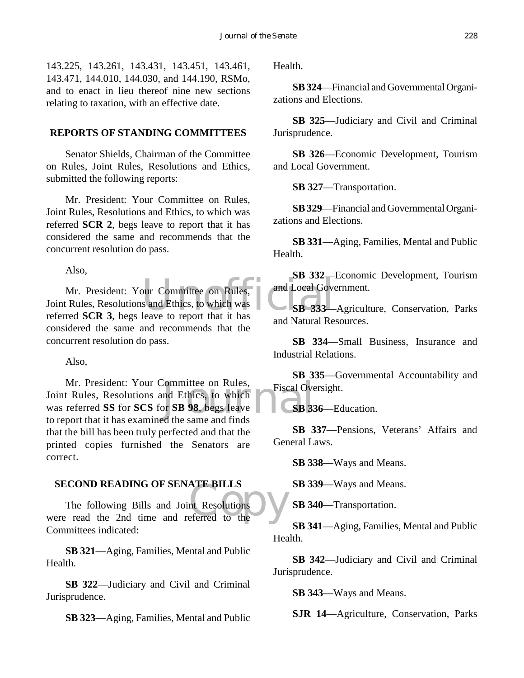143.225, 143.261, 143.431, 143.451, 143.461, 143.471, 144.010, 144.030, and 144.190, RSMo, and to enact in lieu thereof nine new sections relating to taxation, with an effective date.

#### **REPORTS OF STANDING COMMITTEES**

Senator Shields, Chairman of the Committee on Rules, Joint Rules, Resolutions and Ethics, submitted the following reports:

Mr. President: Your Committee on Rules, Joint Rules, Resolutions and Ethics, to which was referred **SCR 2**, begs leave to report that it has considered the same and recommends that the concurrent resolution do pass.

Also,

Pour Committee on Rules,<br>
s and Ethics, to which was<br>
leave to report that it has Mr. President: Your Committee on Rules, Joint Rules, Resolutions and Ethics, to which was referred **SCR 3**, begs leave to report that it has considered the same and recommends that the concurrent resolution do pass.

Also,

Committee on Rules,<br>
and Ethics, to which<br>
Sor Superson Supersympton Contractors Supersympton Contractors Supersympton Contractors Supersympton Contractors<br>
Supersympton Contractors Supersympton Contractors Supersympton C Mr. President: Your Committee on Rules, Joint Rules, Resolutions and Ethics, to which was referred **SS** for **SCS** for **SB 98**, begs leave to report that it has examined the same and finds that the bill has been truly perfected and that the printed copies furnished the Senators are correct.

#### **SECOND READING OF SENATE BILLS**

ATE BILLS<br>nt Resolutions<br>eferred to the The following Bills and Joint Resolutions were read the 2nd time and referred to the Committees indicated:

**SB 321**—Aging, Families, Mental and Public Health.

**SB 322**—Judiciary and Civil and Criminal Jurisprudence.

**SB 323**—Aging, Families, Mental and Public

Health.

**SB 324**—Financial and Governmental Organizations and Elections.

**SB 325**—Judiciary and Civil and Criminal Jurisprudence.

**SB 326**—Economic Development, Tourism and Local Government.

**SB 327**—Transportation.

**SB 329**—Financial and Governmental Organizations and Elections.

**SB 331**—Aging, Families, Mental and Public Health.

**SB 332**—Economic Development, Tourism and Local Government.

**SB 333**—Agriculture, Conservation, Parks and Natural Resources.

**SB 334**—Small Business, Insurance and Industrial Relations.

**SB 335**—Governmental Accountability and Fiscal Oversight.

**SB 336**—Education.

**SB 337**—Pensions, Veterans' Affairs and General Laws.

**SB 338**—Ways and Means.

**SB 339**—Ways and Means.

**SB 340**—Transportation.

**SB 341**—Aging, Families, Mental and Public Health.

**SB 342**—Judiciary and Civil and Criminal Jurisprudence.

**SB 343**—Ways and Means.

**SJR 14**—Agriculture, Conservation, Parks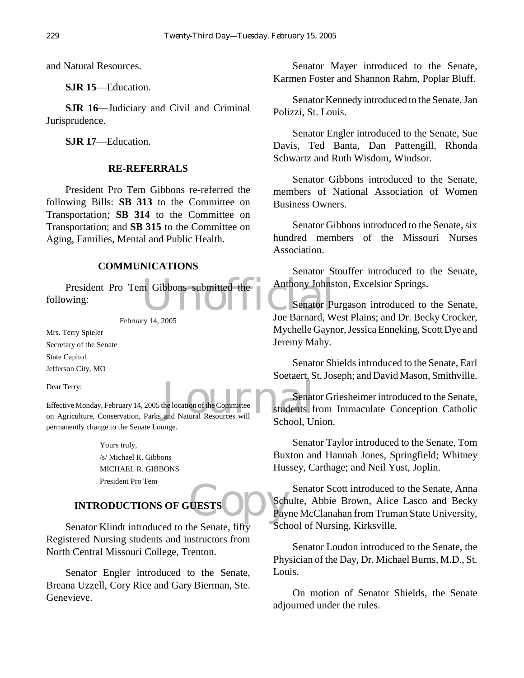and Natural Resources.

**SJR 15**—Education.

**SJR 16**—Judiciary and Civil and Criminal Jurisprudence.

**SJR 17**—Education.

#### **RE-REFERRALS**

President Pro Tem Gibbons re-referred the following Bills: **SB 313** to the Committee on Transportation; **SB 314** to the Committee on Transportation; and **SB 315** to the Committee on Aging, Families, Mental and Public Health.

#### **COMMUNICATIONS**

President Pro Tem Gibbons submitted the Anthony Johns<br>
Wing: Senator Pulses following:

February 14, 2005

Mrs. Terry Spieler Secretary of the Senate State Capitol Jefferson City, MO

Dear Terry:

the location of the Committee Effective Monday, February 14, 2005 the location of the Committee on Agriculture, Conservation, Parks and Natural Resources will permanently change to the Senate Lounge.

> Yours truly, /s/ Michael R. Gibbons MICHAEL R. GIBBONS President Pro Tem

#### **INTRODUCTIONS OF GUESTS**

Senator Klindt introduced to the Senate, fifty Registered Nursing students and instructors from North Central Missouri College, Trenton.

Senator Engler introduced to the Senate, Breana Uzzell, Cory Rice and Gary Bierman, Ste. Genevieve.

Senator Mayer introduced to the Senate, Karmen Foster and Shannon Rahm, Poplar Bluff.

Senator Kennedy introduced to the Senate, Jan Polizzi, St. Louis.

Senator Engler introduced to the Senate, Sue Davis, Ted Banta, Dan Pattengill, Rhonda Schwartz and Ruth Wisdom, Windsor.

Senator Gibbons introduced to the Senate, members of National Association of Women Business Owners.

Senator Gibbons introduced to the Senate, six hundred members of the Missouri Nurses Association.

Senator Stouffer introduced to the Senate, Anthony Johnston, Excelsior Springs.

Senator Purgason introduced to the Senate, Joe Barnard, West Plains; and Dr. Becky Crocker, Mychelle Gaynor, Jessica Enneking, Scott Dye and Jeremy Mahy.

Senator Shields introduced to the Senate, Earl Soetaert, St. Joseph; and David Mason, Smithville.

Senator Griesheimer introduced to the Senate, students from Immaculate Conception Catholic School, Union.

Senator Taylor introduced to the Senate, Tom Buxton and Hannah Jones, Springfield; Whitney Hussey, Carthage; and Neil Yust, Joplin.

UESTS COMPANY Senator Scott introduced to the Senate, Anna Schulte, Abbie Brown, Alice Lasco and Becky Payne McClanahan from Truman State University, School of Nursing, Kirksville.

> Senator Loudon introduced to the Senate, the Physician of the Day, Dr. Michael Burns, M.D., St. Louis.

> On motion of Senator Shields, the Senate adjourned under the rules.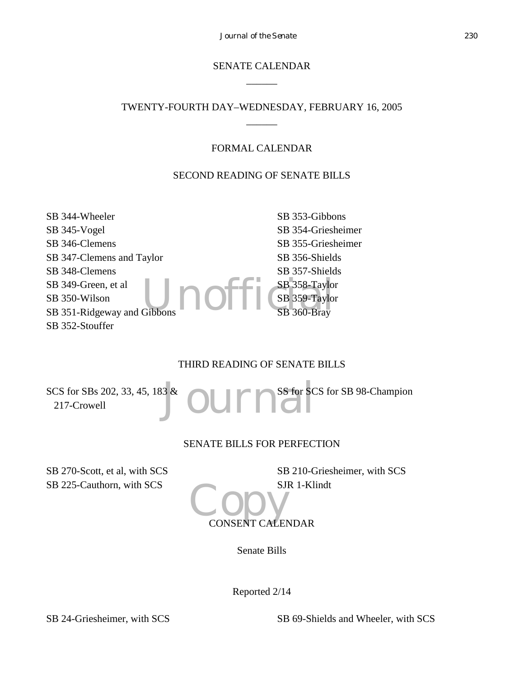#### SENATE CALENDAR  $\overline{\phantom{a}}$

#### TWENTY-FOURTH DAY–WEDNESDAY, FEBRUARY 16, 2005  $\overline{\phantom{a}}$

#### FORMAL CALENDAR

#### SECOND READING OF SENATE BILLS

SB 344-Wheeler SB 345-Vogel SB 346-Clemens SB 347-Clemens and Taylor SB 348-Clemens SB 349-Green, et al SB 350-Wilson SB 351-Ridgeway and Gibbons SB 352-Stouffer

Gibbons **Company 1990** SB 353-Gibbons SB 354-Griesheimer SB 355-Griesheimer SB 356-Shields SB 357-Shields SB 358-Taylor SB 359-Taylor SB 360-Bray

#### THIRD READING OF SENATE BILLS

<sup>3&</sup> OUITIES SCS for SBs 202, 33, 45, 183 & 217-Crowell SS for SCS for SB 98-Champion

#### SENATE BILLS FOR PERFECTION

SB 270-Scott, et al, with SCS SB 225-Cauthorn, with SCS

SB 210-Griesheimer, with SCS SJR 1-Klindt

# CONSENT CALENDAR

Senate Bills

Reported 2/14

SB 24-Griesheimer, with SCS SB 69-Shields and Wheeler, with SCS